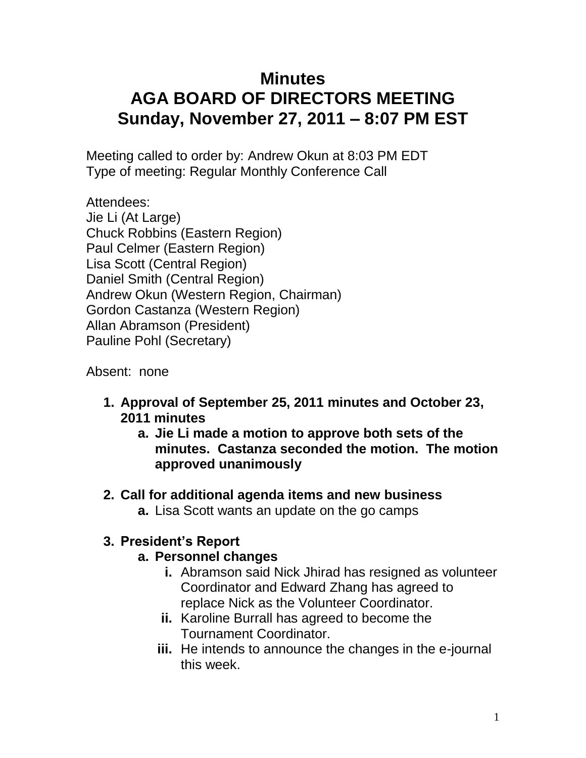# **Minutes AGA BOARD OF DIRECTORS MEETING Sunday, November 27, 2011 – 8:07 PM EST**

Meeting called to order by: Andrew Okun at 8:03 PM EDT Type of meeting: Regular Monthly Conference Call

Attendees: Jie Li (At Large) Chuck Robbins (Eastern Region) Paul Celmer (Eastern Region) Lisa Scott (Central Region) Daniel Smith (Central Region) Andrew Okun (Western Region, Chairman) Gordon Castanza (Western Region) Allan Abramson (President) Pauline Pohl (Secretary)

Absent: none

- **1. Approval of September 25, 2011 minutes and October 23, 2011 minutes**
	- **a. Jie Li made a motion to approve both sets of the minutes. Castanza seconded the motion. The motion approved unanimously**
- **2. Call for additional agenda items and new business a.** Lisa Scott wants an update on the go camps

# **3. President's Report**

#### **a. Personnel changes**

- **i.** Abramson said Nick Jhirad has resigned as volunteer Coordinator and Edward Zhang has agreed to replace Nick as the Volunteer Coordinator.
- **ii.** Karoline Burrall has agreed to become the Tournament Coordinator.
- **iii.** He intends to announce the changes in the e-journal this week.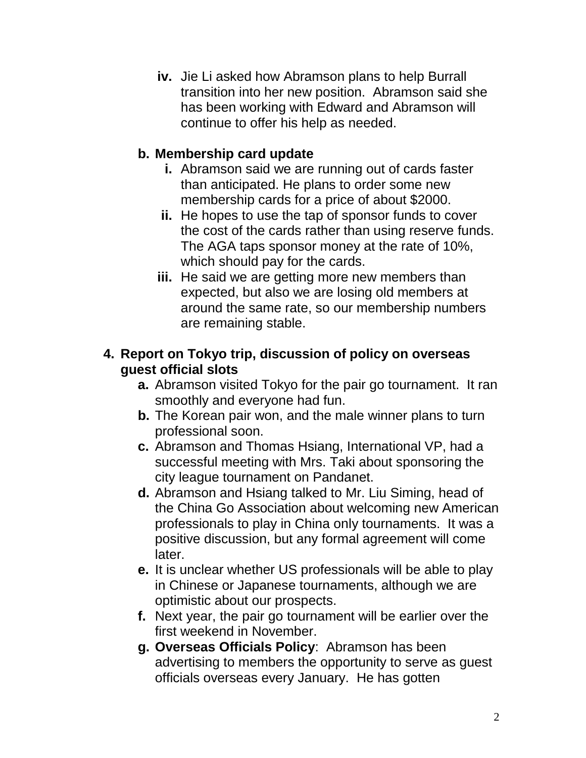**iv.** Jie Li asked how Abramson plans to help Burrall transition into her new position. Abramson said she has been working with Edward and Abramson will continue to offer his help as needed.

#### **b. Membership card update**

- **i.** Abramson said we are running out of cards faster than anticipated. He plans to order some new membership cards for a price of about \$2000.
- **ii.** He hopes to use the tap of sponsor funds to cover the cost of the cards rather than using reserve funds. The AGA taps sponsor money at the rate of 10%, which should pay for the cards.
- **iii.** He said we are getting more new members than expected, but also we are losing old members at around the same rate, so our membership numbers are remaining stable.

#### **4. Report on Tokyo trip, discussion of policy on overseas guest official slots**

- **a.** Abramson visited Tokyo for the pair go tournament. It ran smoothly and everyone had fun.
- **b.** The Korean pair won, and the male winner plans to turn professional soon.
- **c.** Abramson and Thomas Hsiang, International VP, had a successful meeting with Mrs. Taki about sponsoring the city league tournament on Pandanet.
- **d.** Abramson and Hsiang talked to Mr. Liu Siming, head of the China Go Association about welcoming new American professionals to play in China only tournaments. It was a positive discussion, but any formal agreement will come later.
- **e.** It is unclear whether US professionals will be able to play in Chinese or Japanese tournaments, although we are optimistic about our prospects.
- **f.** Next year, the pair go tournament will be earlier over the first weekend in November.
- **g. Overseas Officials Policy**: Abramson has been advertising to members the opportunity to serve as guest officials overseas every January. He has gotten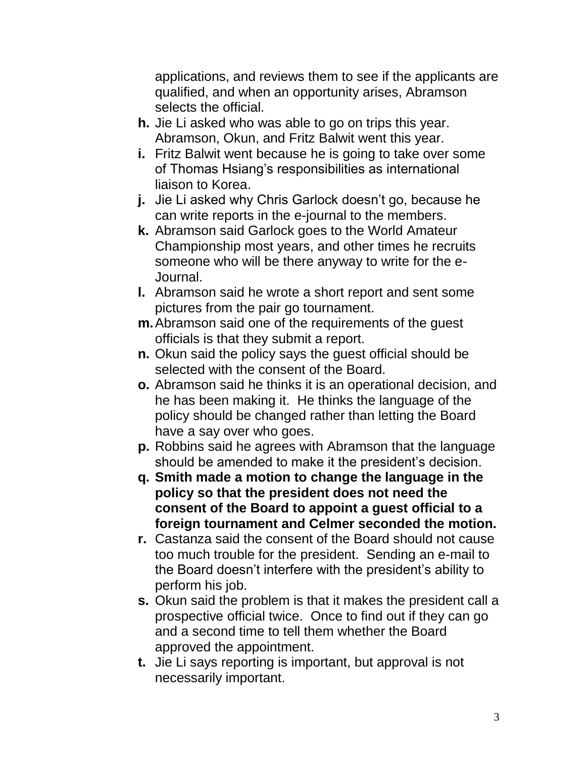applications, and reviews them to see if the applicants are qualified, and when an opportunity arises, Abramson selects the official.

- **h.** Jie Li asked who was able to go on trips this year. Abramson, Okun, and Fritz Balwit went this year.
- **i.** Fritz Balwit went because he is going to take over some of Thomas Hsiang's responsibilities as international liaison to Korea.
- **j.** Jie Li asked why Chris Garlock doesn't go, because he can write reports in the e-journal to the members.
- **k.** Abramson said Garlock goes to the World Amateur Championship most years, and other times he recruits someone who will be there anyway to write for the e-Journal.
- **l.** Abramson said he wrote a short report and sent some pictures from the pair go tournament.
- **m.**Abramson said one of the requirements of the guest officials is that they submit a report.
- **n.** Okun said the policy says the guest official should be selected with the consent of the Board.
- **o.** Abramson said he thinks it is an operational decision, and he has been making it. He thinks the language of the policy should be changed rather than letting the Board have a say over who goes.
- **p.** Robbins said he agrees with Abramson that the language should be amended to make it the president's decision.
- **q. Smith made a motion to change the language in the policy so that the president does not need the consent of the Board to appoint a guest official to a foreign tournament and Celmer seconded the motion.**
- **r.** Castanza said the consent of the Board should not cause too much trouble for the president. Sending an e-mail to the Board doesn't interfere with the president's ability to perform his job.
- **s.** Okun said the problem is that it makes the president call a prospective official twice. Once to find out if they can go and a second time to tell them whether the Board approved the appointment.
- **t.** Jie Li says reporting is important, but approval is not necessarily important.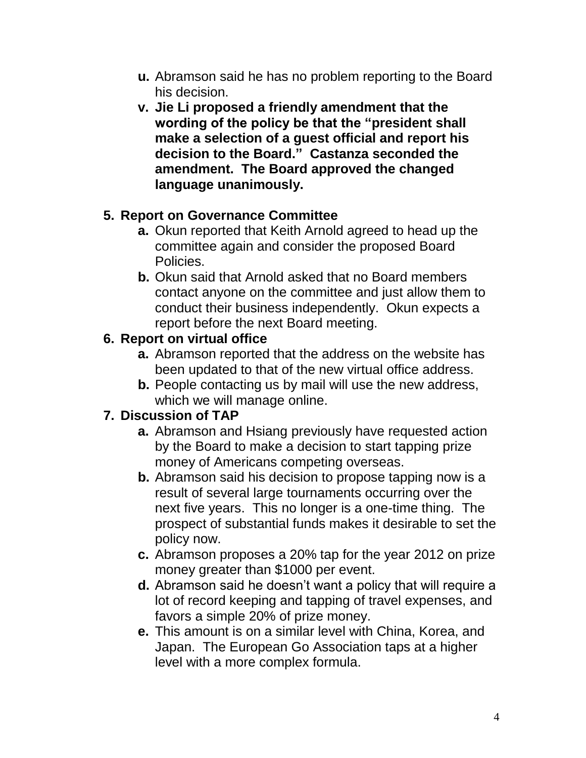- **u.** Abramson said he has no problem reporting to the Board his decision.
- **v. Jie Li proposed a friendly amendment that the wording of the policy be that the "president shall make a selection of a guest official and report his decision to the Board." Castanza seconded the amendment. The Board approved the changed language unanimously.**

#### **5. Report on Governance Committee**

- **a.** Okun reported that Keith Arnold agreed to head up the committee again and consider the proposed Board Policies.
- **b.** Okun said that Arnold asked that no Board members contact anyone on the committee and just allow them to conduct their business independently. Okun expects a report before the next Board meeting.

# **6. Report on virtual office**

- **a.** Abramson reported that the address on the website has been updated to that of the new virtual office address.
- **b.** People contacting us by mail will use the new address, which we will manage online.

# **7. Discussion of TAP**

- **a.** Abramson and Hsiang previously have requested action by the Board to make a decision to start tapping prize money of Americans competing overseas.
- **b.** Abramson said his decision to propose tapping now is a result of several large tournaments occurring over the next five years. This no longer is a one-time thing. The prospect of substantial funds makes it desirable to set the policy now.
- **c.** Abramson proposes a 20% tap for the year 2012 on prize money greater than \$1000 per event.
- **d.** Abramson said he doesn't want a policy that will require a lot of record keeping and tapping of travel expenses, and favors a simple 20% of prize money.
- **e.** This amount is on a similar level with China, Korea, and Japan. The European Go Association taps at a higher level with a more complex formula.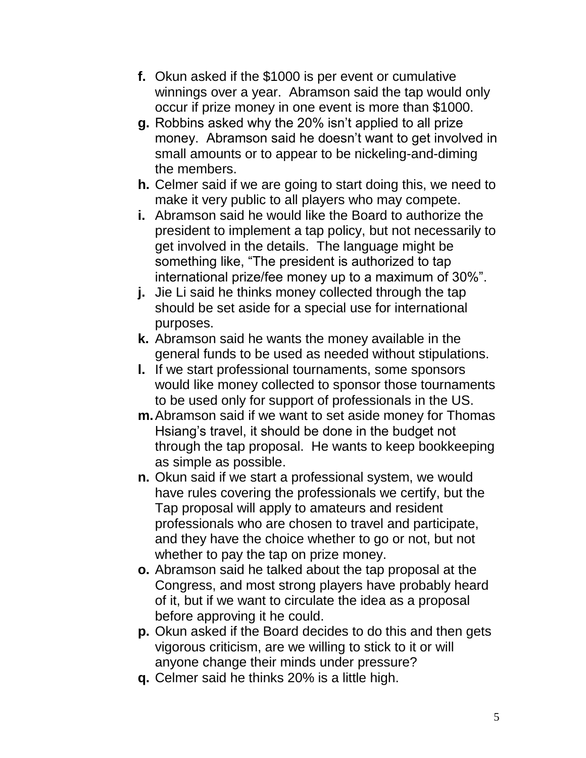- **f.** Okun asked if the \$1000 is per event or cumulative winnings over a year. Abramson said the tap would only occur if prize money in one event is more than \$1000.
- **g.** Robbins asked why the 20% isn't applied to all prize money. Abramson said he doesn't want to get involved in small amounts or to appear to be nickeling-and-diming the members.
- **h.** Celmer said if we are going to start doing this, we need to make it very public to all players who may compete.
- **i.** Abramson said he would like the Board to authorize the president to implement a tap policy, but not necessarily to get involved in the details. The language might be something like, "The president is authorized to tap international prize/fee money up to a maximum of 30%".
- **j.** Jie Li said he thinks money collected through the tap should be set aside for a special use for international purposes.
- **k.** Abramson said he wants the money available in the general funds to be used as needed without stipulations.
- **l.** If we start professional tournaments, some sponsors would like money collected to sponsor those tournaments to be used only for support of professionals in the US.
- **m.**Abramson said if we want to set aside money for Thomas Hsiang's travel, it should be done in the budget not through the tap proposal. He wants to keep bookkeeping as simple as possible.
- **n.** Okun said if we start a professional system, we would have rules covering the professionals we certify, but the Tap proposal will apply to amateurs and resident professionals who are chosen to travel and participate, and they have the choice whether to go or not, but not whether to pay the tap on prize money.
- **o.** Abramson said he talked about the tap proposal at the Congress, and most strong players have probably heard of it, but if we want to circulate the idea as a proposal before approving it he could.
- **p.** Okun asked if the Board decides to do this and then gets vigorous criticism, are we willing to stick to it or will anyone change their minds under pressure?
- **q.** Celmer said he thinks 20% is a little high.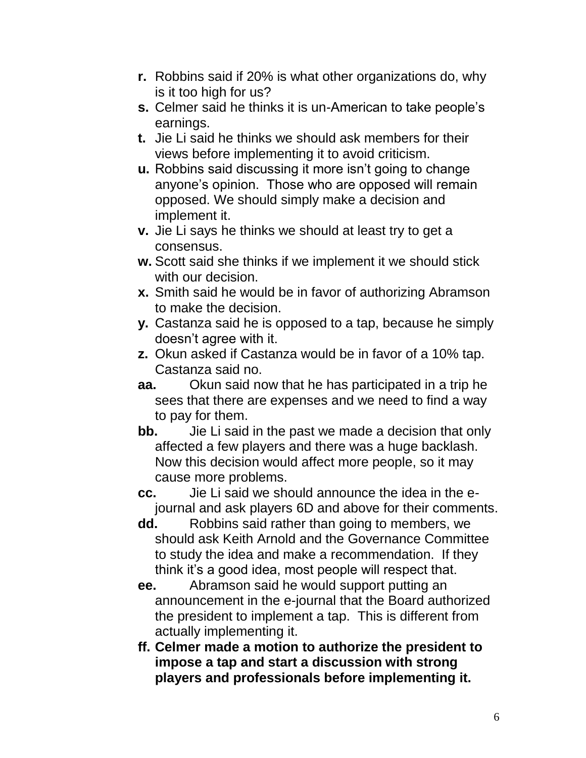- **r.** Robbins said if 20% is what other organizations do, why is it too high for us?
- **s.** Celmer said he thinks it is un-American to take people's earnings.
- **t.** Jie Li said he thinks we should ask members for their views before implementing it to avoid criticism.
- **u.** Robbins said discussing it more isn't going to change anyone's opinion. Those who are opposed will remain opposed. We should simply make a decision and implement it.
- **v.** Jie Li says he thinks we should at least try to get a consensus.
- **w.** Scott said she thinks if we implement it we should stick with our decision.
- **x.** Smith said he would be in favor of authorizing Abramson to make the decision.
- **y.** Castanza said he is opposed to a tap, because he simply doesn't agree with it.
- **z.** Okun asked if Castanza would be in favor of a 10% tap. Castanza said no.
- **aa.** Okun said now that he has participated in a trip he sees that there are expenses and we need to find a way to pay for them.
- **bb.** Jie Li said in the past we made a decision that only affected a few players and there was a huge backlash. Now this decision would affect more people, so it may cause more problems.
- **cc.** Jie Li said we should announce the idea in the ejournal and ask players 6D and above for their comments.
- **dd.** Robbins said rather than going to members, we should ask Keith Arnold and the Governance Committee to study the idea and make a recommendation. If they think it's a good idea, most people will respect that.
- **ee.** Abramson said he would support putting an announcement in the e-journal that the Board authorized the president to implement a tap. This is different from actually implementing it.
- **ff. Celmer made a motion to authorize the president to impose a tap and start a discussion with strong players and professionals before implementing it.**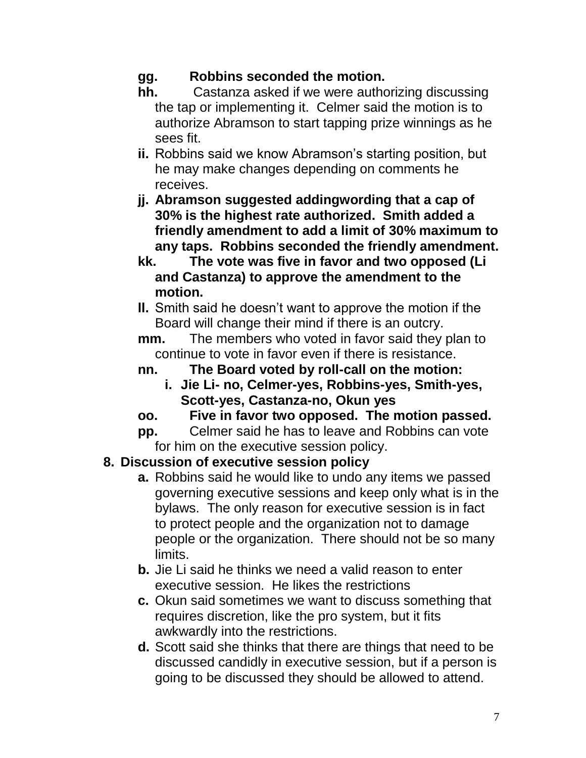# **gg. Robbins seconded the motion.**

- **hh.** Castanza asked if we were authorizing discussing the tap or implementing it. Celmer said the motion is to authorize Abramson to start tapping prize winnings as he sees fit.
- **ii.** Robbins said we know Abramson's starting position, but he may make changes depending on comments he receives.
- **jj. Abramson suggested addingwording that a cap of 30% is the highest rate authorized. Smith added a friendly amendment to add a limit of 30% maximum to any taps. Robbins seconded the friendly amendment.**
- **kk. The vote was five in favor and two opposed (Li and Castanza) to approve the amendment to the motion.**
- **ll.** Smith said he doesn't want to approve the motion if the Board will change their mind if there is an outcry.

**mm.** The members who voted in favor said they plan to continue to vote in favor even if there is resistance.

- **nn. The Board voted by roll-call on the motion:** 
	- **i. Jie Li- no, Celmer-yes, Robbins-yes, Smith-yes, Scott-yes, Castanza-no, Okun yes**
- **oo. Five in favor two opposed. The motion passed.**
- **pp.** Celmer said he has to leave and Robbins can vote for him on the executive session policy.

# **8. Discussion of executive session policy**

- **a.** Robbins said he would like to undo any items we passed governing executive sessions and keep only what is in the bylaws. The only reason for executive session is in fact to protect people and the organization not to damage people or the organization. There should not be so many limits.
- **b.** Jie Li said he thinks we need a valid reason to enter executive session. He likes the restrictions
- **c.** Okun said sometimes we want to discuss something that requires discretion, like the pro system, but it fits awkwardly into the restrictions.
- **d.** Scott said she thinks that there are things that need to be discussed candidly in executive session, but if a person is going to be discussed they should be allowed to attend.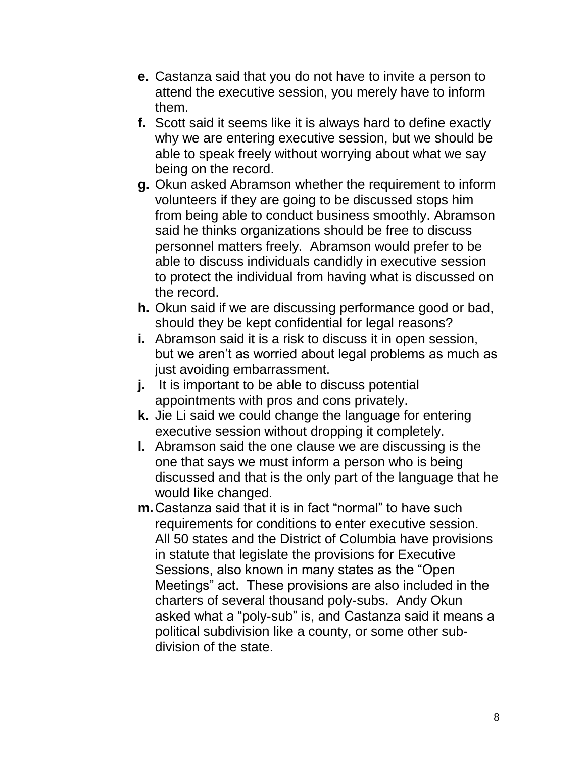- **e.** Castanza said that you do not have to invite a person to attend the executive session, you merely have to inform them.
- **f.** Scott said it seems like it is always hard to define exactly why we are entering executive session, but we should be able to speak freely without worrying about what we say being on the record.
- **g.** Okun asked Abramson whether the requirement to inform volunteers if they are going to be discussed stops him from being able to conduct business smoothly. Abramson said he thinks organizations should be free to discuss personnel matters freely. Abramson would prefer to be able to discuss individuals candidly in executive session to protect the individual from having what is discussed on the record.
- **h.** Okun said if we are discussing performance good or bad, should they be kept confidential for legal reasons?
- **i.** Abramson said it is a risk to discuss it in open session, but we aren't as worried about legal problems as much as just avoiding embarrassment.
- **j.** It is important to be able to discuss potential appointments with pros and cons privately.
- **k.** Jie Li said we could change the language for entering executive session without dropping it completely.
- **l.** Abramson said the one clause we are discussing is the one that says we must inform a person who is being discussed and that is the only part of the language that he would like changed.
- **m.**Castanza said that it is in fact "normal" to have such requirements for conditions to enter executive session. All 50 states and the District of Columbia have provisions in statute that legislate the provisions for Executive Sessions, also known in many states as the "Open Meetings" act. These provisions are also included in the charters of several thousand poly-subs. Andy Okun asked what a "poly-sub" is, and Castanza said it means a political subdivision like a county, or some other subdivision of the state.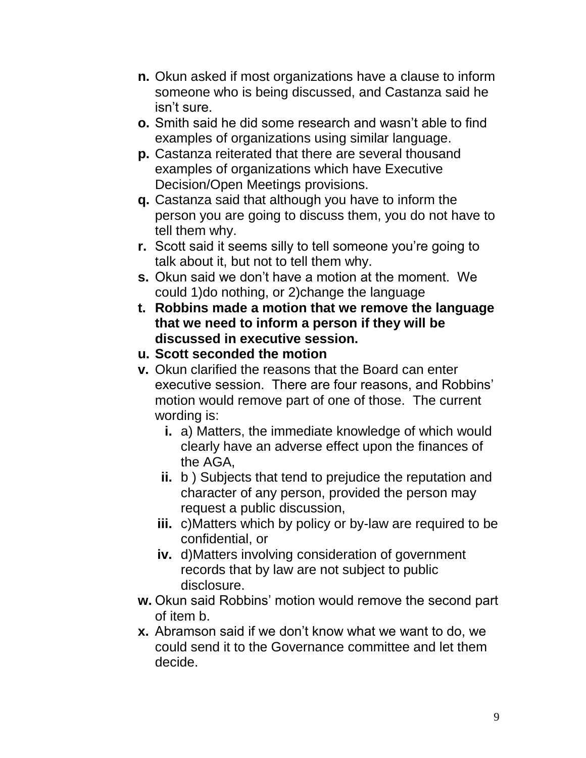- **n.** Okun asked if most organizations have a clause to inform someone who is being discussed, and Castanza said he isn't sure.
- **o.** Smith said he did some research and wasn't able to find examples of organizations using similar language.
- **p.** Castanza reiterated that there are several thousand examples of organizations which have Executive Decision/Open Meetings provisions.
- **q.** Castanza said that although you have to inform the person you are going to discuss them, you do not have to tell them why.
- **r.** Scott said it seems silly to tell someone you're going to talk about it, but not to tell them why.
- **s.** Okun said we don't have a motion at the moment. We could 1)do nothing, or 2)change the language
- **t. Robbins made a motion that we remove the language that we need to inform a person if they will be discussed in executive session.**
- **u. Scott seconded the motion**
- **v.** Okun clarified the reasons that the Board can enter executive session. There are four reasons, and Robbins' motion would remove part of one of those. The current wording is:
	- **i.** a) Matters, the immediate knowledge of which would clearly have an adverse effect upon the finances of the AGA,
	- **ii.** b ) Subjects that tend to prejudice the reputation and character of any person, provided the person may request a public discussion,
	- **iii.** c)Matters which by policy or by-law are required to be confidential, or
	- **iv.** d)Matters involving consideration of government records that by law are not subject to public disclosure.
- **w.** Okun said Robbins' motion would remove the second part of item b.
- **x.** Abramson said if we don't know what we want to do, we could send it to the Governance committee and let them decide.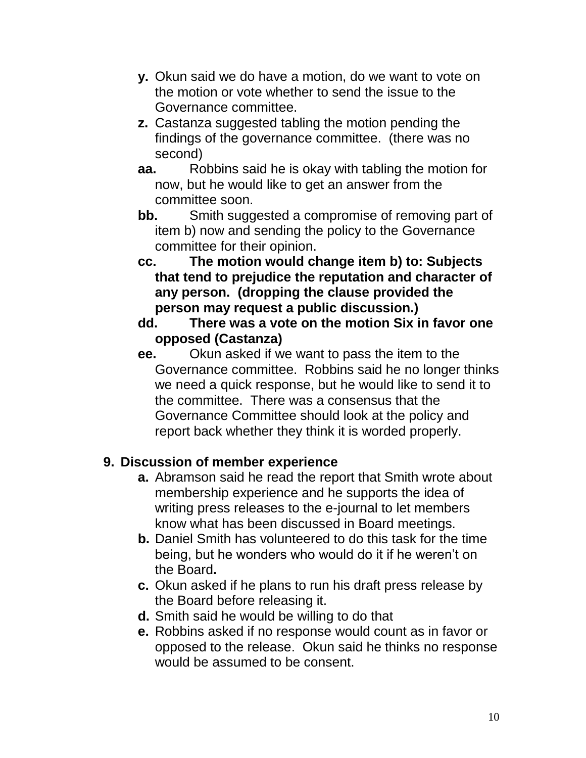- **y.** Okun said we do have a motion, do we want to vote on the motion or vote whether to send the issue to the Governance committee.
- **z.** Castanza suggested tabling the motion pending the findings of the governance committee. (there was no second)
- **aa.** Robbins said he is okay with tabling the motion for now, but he would like to get an answer from the committee soon.
- **bb.** Smith suggested a compromise of removing part of item b) now and sending the policy to the Governance committee for their opinion.
- **cc. The motion would change item b) to: Subjects that tend to prejudice the reputation and character of any person. (dropping the clause provided the person may request a public discussion.)**
- **dd. There was a vote on the motion Six in favor one opposed (Castanza)**
- **ee.** Okun asked if we want to pass the item to the Governance committee. Robbins said he no longer thinks we need a quick response, but he would like to send it to the committee. There was a consensus that the Governance Committee should look at the policy and report back whether they think it is worded properly.

#### **9. Discussion of member experience**

- **a.** Abramson said he read the report that Smith wrote about membership experience and he supports the idea of writing press releases to the e-journal to let members know what has been discussed in Board meetings.
- **b.** Daniel Smith has volunteered to do this task for the time being, but he wonders who would do it if he weren't on the Board**.**
- **c.** Okun asked if he plans to run his draft press release by the Board before releasing it.
- **d.** Smith said he would be willing to do that
- **e.** Robbins asked if no response would count as in favor or opposed to the release. Okun said he thinks no response would be assumed to be consent.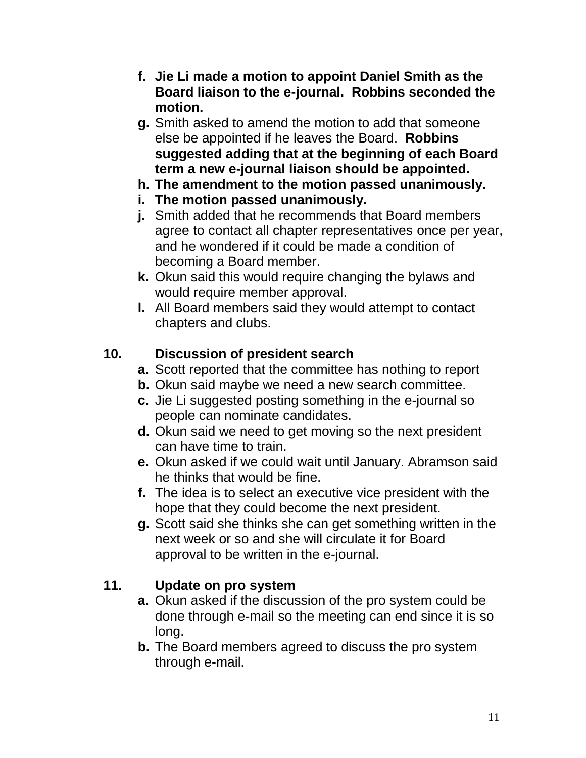- **f. Jie Li made a motion to appoint Daniel Smith as the Board liaison to the e-journal. Robbins seconded the motion.**
- **g.** Smith asked to amend the motion to add that someone else be appointed if he leaves the Board. **Robbins suggested adding that at the beginning of each Board term a new e-journal liaison should be appointed.**
- **h. The amendment to the motion passed unanimously.**
- **i. The motion passed unanimously.**
- **j.** Smith added that he recommends that Board members agree to contact all chapter representatives once per year, and he wondered if it could be made a condition of becoming a Board member.
- **k.** Okun said this would require changing the bylaws and would require member approval.
- **l.** All Board members said they would attempt to contact chapters and clubs.

# **10. Discussion of president search**

- **a.** Scott reported that the committee has nothing to report
- **b.** Okun said maybe we need a new search committee.
- **c.** Jie Li suggested posting something in the e-journal so people can nominate candidates.
- **d.** Okun said we need to get moving so the next president can have time to train.
- **e.** Okun asked if we could wait until January. Abramson said he thinks that would be fine.
- **f.** The idea is to select an executive vice president with the hope that they could become the next president.
- **g.** Scott said she thinks she can get something written in the next week or so and she will circulate it for Board approval to be written in the e-journal.

# **11. Update on pro system**

- **a.** Okun asked if the discussion of the pro system could be done through e-mail so the meeting can end since it is so long.
- **b.** The Board members agreed to discuss the pro system through e-mail.